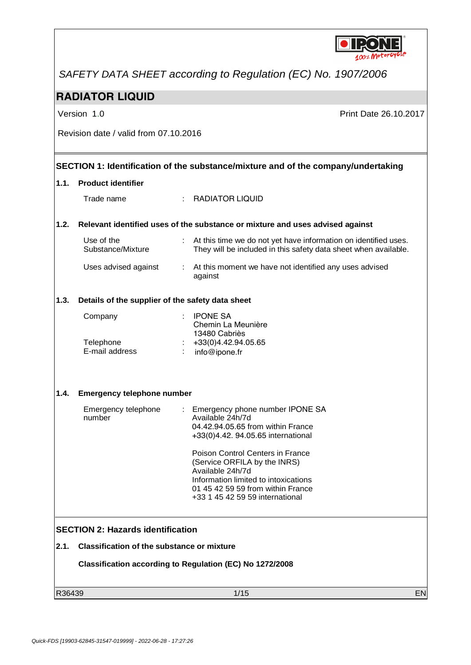

*SAFETY DATA SHEET according to Regulation (EC) No. 1907/2006*

### **RADIATOR LIQUID**

Version 1.0 **Print Date 26.10.2017** 

Revision date / valid from 07.10.2016

#### **SECTION 1: Identification of the substance/mixture and of the company/undertaking**

#### **1.1. Product identifier**

Trade name : RADIATOR LIQUID

#### **1.2. Relevant identified uses of the substance or mixture and uses advised against**

| Use of the<br>Substance/Mixture | : At this time we do not yet have information on identified uses.<br>They will be included in this safety data sheet when available. |
|---------------------------------|--------------------------------------------------------------------------------------------------------------------------------------|
| Uses advised against            | : At this moment we have not identified any uses advised<br>against                                                                  |

#### **1.3. Details of the supplier of the safety data sheet**

| <b>IPONE SA</b>     |
|---------------------|
| Chemin La Meunière  |
| 13480 Cabriès       |
| +33(0)4.42.94.05.65 |
| info@ipone.fr       |
|                     |

#### **1.4. Emergency telephone number**

| Emergency telephone<br>number | : Emergency phone number IPONE SA<br>Available 24h/7d<br>04.42.94.05.65 from within France<br>+33(0)4.42. 94.05.65 international                                                                     |
|-------------------------------|------------------------------------------------------------------------------------------------------------------------------------------------------------------------------------------------------|
|                               | Poison Control Centers in France<br>(Service ORFILA by the INRS)<br>Available 24h/7d<br>Information limited to intoxications<br>01 45 42 59 59 from within France<br>+33 1 45 42 59 59 international |

#### **SECTION 2: Hazards identification**

#### **2.1. Classification of the substance or mixture**

**Classification according to Regulation (EC) No 1272/2008**

R36439 1/15 EN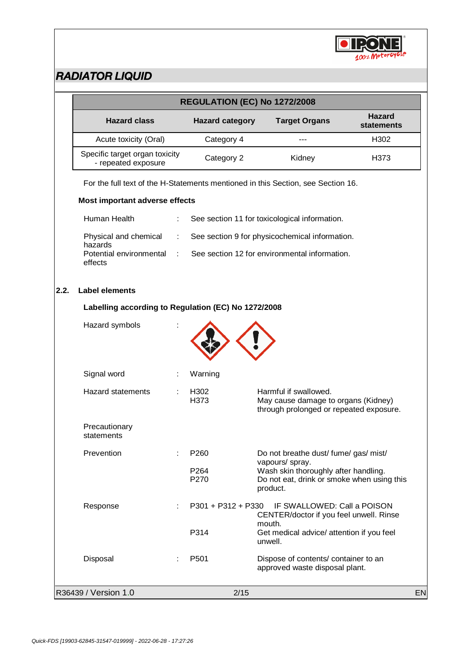

|      | REGULATION (EC) No 1272/2008                          |   |                          |                                                                                                                   |                                    |    |
|------|-------------------------------------------------------|---|--------------------------|-------------------------------------------------------------------------------------------------------------------|------------------------------------|----|
|      | <b>Hazard class</b>                                   |   | <b>Hazard category</b>   | <b>Target Organs</b>                                                                                              | <b>Hazard</b><br><b>statements</b> |    |
|      | Acute toxicity (Oral)                                 |   | Category 4               |                                                                                                                   | H302                               |    |
|      | Specific target organ toxicity<br>- repeated exposure |   | Category 2               | Kidney                                                                                                            | H373                               |    |
|      |                                                       |   |                          | For the full text of the H-Statements mentioned in this Section, see Section 16.                                  |                                    |    |
|      | Most important adverse effects                        |   |                          |                                                                                                                   |                                    |    |
|      | Human Health                                          |   |                          | See section 11 for toxicological information.                                                                     |                                    |    |
|      | Physical and chemical<br>hazards                      |   |                          | See section 9 for physicochemical information.                                                                    |                                    |    |
|      | Potential environmental<br>effects                    |   |                          | See section 12 for environmental information.                                                                     |                                    |    |
| 2.2. | <b>Label elements</b>                                 |   |                          |                                                                                                                   |                                    |    |
|      | Labelling according to Regulation (EC) No 1272/2008   |   |                          |                                                                                                                   |                                    |    |
|      | Hazard symbols                                        |   |                          |                                                                                                                   |                                    |    |
|      | Signal word                                           |   | Warning                  |                                                                                                                   |                                    |    |
|      | <b>Hazard statements</b>                              |   | H <sub>302</sub><br>H373 | Harmful if swallowed.<br>May cause damage to organs (Kidney)<br>through prolonged or repeated exposure.           |                                    |    |
|      | Precautionary<br>statements                           |   |                          |                                                                                                                   |                                    |    |
|      | Prevention                                            |   | P <sub>260</sub>         | Do not breathe dust/ fume/ gas/ mist/                                                                             |                                    |    |
|      |                                                       |   | P264<br>P270             | vapours/ spray.<br>Wash skin thoroughly after handling.<br>Do not eat, drink or smoke when using this<br>product. |                                    |    |
|      | Response                                              |   | $P301 + P312 + P330$     | IF SWALLOWED: Call a POISON<br>CENTER/doctor if you feel unwell. Rinse<br>mouth.                                  |                                    |    |
|      |                                                       |   | P314                     | Get medical advice/ attention if you feel<br>unwell.                                                              |                                    |    |
|      | Disposal                                              | ÷ | P <sub>501</sub>         | Dispose of contents/ container to an<br>approved waste disposal plant.                                            |                                    |    |
|      | R36439 / Version 1.0                                  |   | 2/15                     |                                                                                                                   |                                    | EN |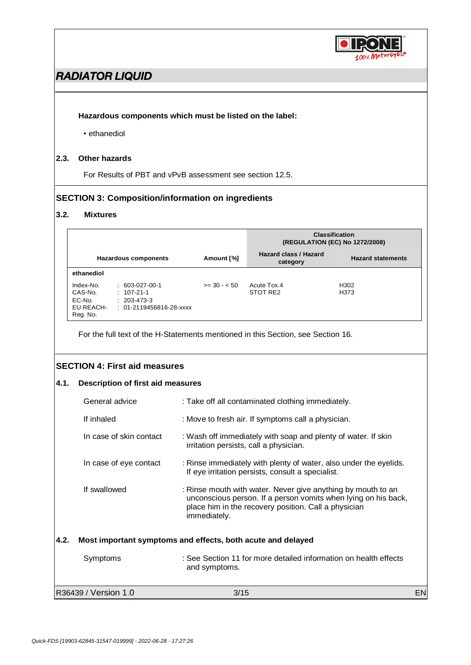

#### **Hazardous components which must be listed on the label:**

• ethanediol

#### **2.3. Other hazards**

For Results of PBT and vPvB assessment see section 12.5.

#### **SECTION 3: Composition/information on ingredients**

#### **3.2. Mixtures**

|                                                         |                                                                                         |              | <b>Classification</b><br>(REGULATION (EC) No 1272/2008) |                          |
|---------------------------------------------------------|-----------------------------------------------------------------------------------------|--------------|---------------------------------------------------------|--------------------------|
|                                                         | Hazardous components                                                                    | Amount [%]   | Hazard class / Hazard<br>category                       | <b>Hazard statements</b> |
| ethanediol                                              |                                                                                         |              |                                                         |                          |
| Index-No.<br>CAS-No.<br>EC-No.<br>EU REACH-<br>Reg. No. | $: 603-027-00-1$<br>$: 107-21-1$<br>$: 203 - 473 - 3$<br>$: 01 - 2119456816 - 28 - xxx$ | $>= 30 - 50$ | Acute Tox.4<br>STOT RE2                                 | H302<br>H373             |

For the full text of the H-Statements mentioned in this Section, see Section 16.

#### **SECTION 4: First aid measures**

#### **4.1. Description of first aid measures**

|      | R36439 / Version 1.0    | 3/15                                                                                                                                                                                                          | EN |
|------|-------------------------|---------------------------------------------------------------------------------------------------------------------------------------------------------------------------------------------------------------|----|
|      | Symptoms                | : See Section 11 for more detailed information on health effects<br>and symptoms.                                                                                                                             |    |
| 4.2. |                         | Most important symptoms and effects, both acute and delayed                                                                                                                                                   |    |
|      | If swallowed            | : Rinse mouth with water. Never give anything by mouth to an<br>unconscious person. If a person vomits when lying on his back,<br>place him in the recovery position. Call a physician<br><i>immediately.</i> |    |
|      | In case of eye contact  | : Rinse immediately with plenty of water, also under the eyelids.<br>If eye irritation persists, consult a specialist.                                                                                        |    |
|      | In case of skin contact | : Wash off immediately with soap and plenty of water. If skin<br>irritation persists, call a physician.                                                                                                       |    |
|      | If inhaled              | : Move to fresh air. If symptoms call a physician.                                                                                                                                                            |    |
|      | General advice          | : Take off all contaminated clothing immediately.                                                                                                                                                             |    |
|      |                         |                                                                                                                                                                                                               |    |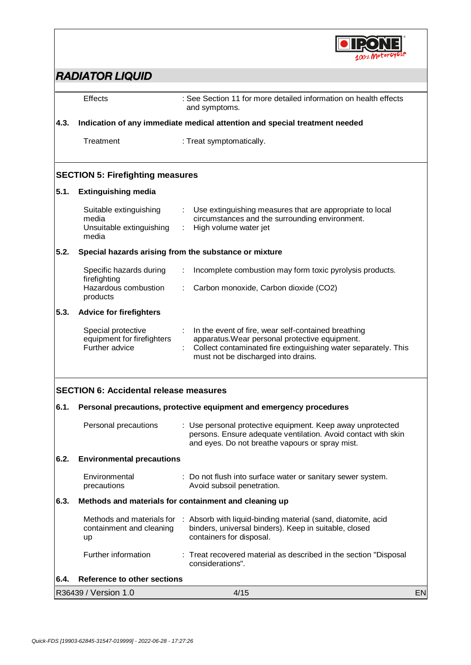

|      | Effects<br>: See Section 11 for more detailed information on health effects<br>and symptoms. |                                                                                                                                                                                                                |    |  |  |
|------|----------------------------------------------------------------------------------------------|----------------------------------------------------------------------------------------------------------------------------------------------------------------------------------------------------------------|----|--|--|
| 4.3. |                                                                                              | Indication of any immediate medical attention and special treatment needed                                                                                                                                     |    |  |  |
|      | Treatment<br>: Treat symptomatically.                                                        |                                                                                                                                                                                                                |    |  |  |
|      | <b>SECTION 5: Firefighting measures</b>                                                      |                                                                                                                                                                                                                |    |  |  |
| 5.1. | <b>Extinguishing media</b>                                                                   |                                                                                                                                                                                                                |    |  |  |
|      | Suitable extinguishing<br>media<br>Unsuitable extinguishing<br>media                         | Use extinguishing measures that are appropriate to local<br>circumstances and the surrounding environment.<br>High volume water jet                                                                            |    |  |  |
| 5.2. |                                                                                              | Special hazards arising from the substance or mixture                                                                                                                                                          |    |  |  |
|      | Specific hazards during                                                                      | Incomplete combustion may form toxic pyrolysis products.                                                                                                                                                       |    |  |  |
|      | firefighting<br>Hazardous combustion<br>products                                             | Carbon monoxide, Carbon dioxide (CO2)                                                                                                                                                                          |    |  |  |
| 5.3. | <b>Advice for firefighters</b>                                                               |                                                                                                                                                                                                                |    |  |  |
|      | Special protective<br>equipment for firefighters<br>Further advice                           | In the event of fire, wear self-contained breathing<br>apparatus. Wear personal protective equipment.<br>Collect contaminated fire extinguishing water separately. This<br>must not be discharged into drains. |    |  |  |
|      | <b>SECTION 6: Accidental release measures</b>                                                |                                                                                                                                                                                                                |    |  |  |
| 6.1. | Personal precautions, protective equipment and emergency procedures                          |                                                                                                                                                                                                                |    |  |  |
|      | Personal precautions                                                                         | : Use personal protective equipment. Keep away unprotected<br>persons. Ensure adequate ventilation. Avoid contact with skin<br>and eyes. Do not breathe vapours or spray mist.                                 |    |  |  |
| 6.2. | <b>Environmental precautions</b>                                                             |                                                                                                                                                                                                                |    |  |  |
|      | Environmental<br>precautions                                                                 | : Do not flush into surface water or sanitary sewer system.<br>Avoid subsoil penetration.                                                                                                                      |    |  |  |
| 6.3. |                                                                                              | Methods and materials for containment and cleaning up                                                                                                                                                          |    |  |  |
|      | Methods and materials for<br>containment and cleaning<br>up                                  | : Absorb with liquid-binding material (sand, diatomite, acid<br>binders, universal binders). Keep in suitable, closed<br>containers for disposal.                                                              |    |  |  |
|      | Further information                                                                          | : Treat recovered material as described in the section "Disposal<br>considerations".                                                                                                                           |    |  |  |
| 6.4. | <b>Reference to other sections</b>                                                           |                                                                                                                                                                                                                |    |  |  |
|      | R36439 / Version 1.0                                                                         | 4/15                                                                                                                                                                                                           | EN |  |  |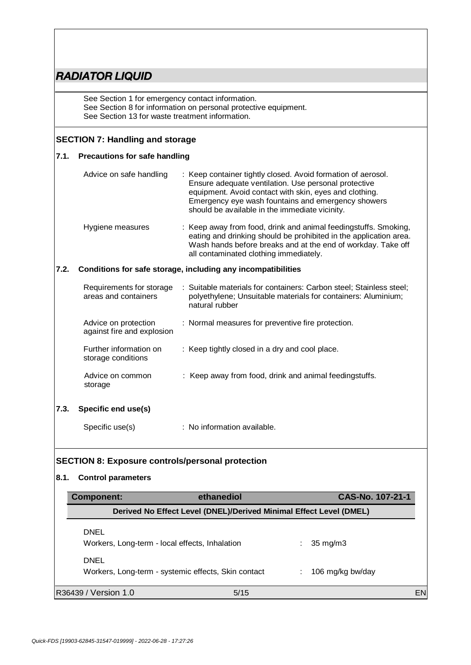See Section 1 for emergency contact information. See Section 8 for information on personal protective equipment. See Section 13 for waste treatment information.

#### **SECTION 7: Handling and storage**

#### **7.1. Precautions for safe handling**

|      | Advice on safe handling                            | : Keep container tightly closed. Avoid formation of aerosol.<br>Ensure adequate ventilation. Use personal protective<br>equipment. Avoid contact with skin, eyes and clothing.<br>Emergency eye wash fountains and emergency showers<br>should be available in the immediate vicinity. |
|------|----------------------------------------------------|----------------------------------------------------------------------------------------------------------------------------------------------------------------------------------------------------------------------------------------------------------------------------------------|
|      | Hygiene measures                                   | : Keep away from food, drink and animal feedingstuffs. Smoking,<br>eating and drinking should be prohibited in the application area.<br>Wash hands before breaks and at the end of workday. Take off<br>all contaminated clothing immediately.                                         |
| 7.2. |                                                    | Conditions for safe storage, including any incompatibilities                                                                                                                                                                                                                           |
|      | Requirements for storage<br>areas and containers   | : Suitable materials for containers: Carbon steel; Stainless steel;<br>polyethylene; Unsuitable materials for containers: Aluminium;<br>natural rubber                                                                                                                                 |
|      | Advice on protection<br>against fire and explosion | : Normal measures for preventive fire protection.                                                                                                                                                                                                                                      |
|      | Further information on<br>storage conditions       | : Keep tightly closed in a dry and cool place.                                                                                                                                                                                                                                         |
|      | Advice on common<br>storage                        | : Keep away from food, drink and animal feedingstuffs.                                                                                                                                                                                                                                 |
| 7.3. | Specific end use(s)                                |                                                                                                                                                                                                                                                                                        |

Specific use(s) : No information available.

#### **SECTION 8: Exposure controls/personal protection**

#### **8.1. Control parameters**

| Component:                                                    | ethanediol                                                         |   | CAS-No. 107-21-1  |    |
|---------------------------------------------------------------|--------------------------------------------------------------------|---|-------------------|----|
|                                                               | Derived No Effect Level (DNEL)/Derived Minimal Effect Level (DMEL) |   |                   |    |
| <b>DNEL</b><br>Workers, Long-term - local effects, Inhalation |                                                                    |   | $35 \text{ mg/m}$ |    |
| <b>DNEL</b>                                                   | Workers, Long-term - systemic effects, Skin contact                | ÷ | 106 mg/kg bw/day  |    |
| R36439 / Version 1.0                                          | 5/15                                                               |   |                   | EN |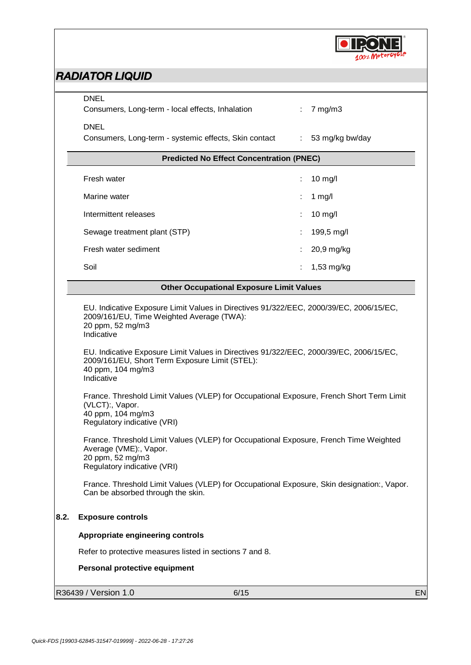

|      | <b>DNEL</b><br>Consumers, Long-term - local effects, Inhalation                                                                                                                                                                                                                                                                                                                                                                                                          | $\mathbb{Z}^{\mathbb{Z}}$ | $7 \text{ mg/m}$ 3 |    |
|------|--------------------------------------------------------------------------------------------------------------------------------------------------------------------------------------------------------------------------------------------------------------------------------------------------------------------------------------------------------------------------------------------------------------------------------------------------------------------------|---------------------------|--------------------|----|
|      | <b>DNEL</b><br>Consumers, Long-term - systemic effects, Skin contact : 53 mg/kg bw/day                                                                                                                                                                                                                                                                                                                                                                                   |                           |                    |    |
|      | <b>Predicted No Effect Concentration (PNEC)</b>                                                                                                                                                                                                                                                                                                                                                                                                                          |                           |                    |    |
|      | Fresh water                                                                                                                                                                                                                                                                                                                                                                                                                                                              |                           | $10$ mg/l          |    |
|      | Marine water                                                                                                                                                                                                                                                                                                                                                                                                                                                             |                           | 1 mg/l             |    |
|      | Intermittent releases                                                                                                                                                                                                                                                                                                                                                                                                                                                    |                           | $10$ mg/l          |    |
|      | Sewage treatment plant (STP)                                                                                                                                                                                                                                                                                                                                                                                                                                             |                           | 199,5 mg/l         |    |
|      | Fresh water sediment                                                                                                                                                                                                                                                                                                                                                                                                                                                     |                           | 20,9 mg/kg         |    |
|      | Soil                                                                                                                                                                                                                                                                                                                                                                                                                                                                     |                           | 1,53 mg/kg         |    |
|      | <b>Other Occupational Exposure Limit Values</b>                                                                                                                                                                                                                                                                                                                                                                                                                          |                           |                    |    |
|      | EU. Indicative Exposure Limit Values in Directives 91/322/EEC, 2000/39/EC, 2006/15/EC,<br>2009/161/EU, Time Weighted Average (TWA):<br>20 ppm, 52 mg/m3<br>Indicative<br>EU. Indicative Exposure Limit Values in Directives 91/322/EEC, 2000/39/EC, 2006/15/EC,<br>2009/161/EU, Short Term Exposure Limit (STEL):<br>40 ppm, 104 mg/m3<br>Indicative                                                                                                                     |                           |                    |    |
|      | France. Threshold Limit Values (VLEP) for Occupational Exposure, French Short Term Limit<br>(VLCT):, Vapor.<br>40 ppm, 104 mg/m3<br>Regulatory indicative (VRI)<br>France. Threshold Limit Values (VLEP) for Occupational Exposure, French Time Weighted<br>Average (VME):, Vapor.<br>20 ppm, 52 mg/m3<br>Regulatory indicative (VRI)<br>France. Threshold Limit Values (VLEP) for Occupational Exposure, Skin designation:, Vapor.<br>Can be absorbed through the skin. |                           |                    |    |
| 8.2. | <b>Exposure controls</b>                                                                                                                                                                                                                                                                                                                                                                                                                                                 |                           |                    |    |
|      | Appropriate engineering controls                                                                                                                                                                                                                                                                                                                                                                                                                                         |                           |                    |    |
|      | Refer to protective measures listed in sections 7 and 8.                                                                                                                                                                                                                                                                                                                                                                                                                 |                           |                    |    |
|      | Personal protective equipment                                                                                                                                                                                                                                                                                                                                                                                                                                            |                           |                    |    |
|      | R36439 / Version 1.0<br>6/15                                                                                                                                                                                                                                                                                                                                                                                                                                             |                           |                    | EN |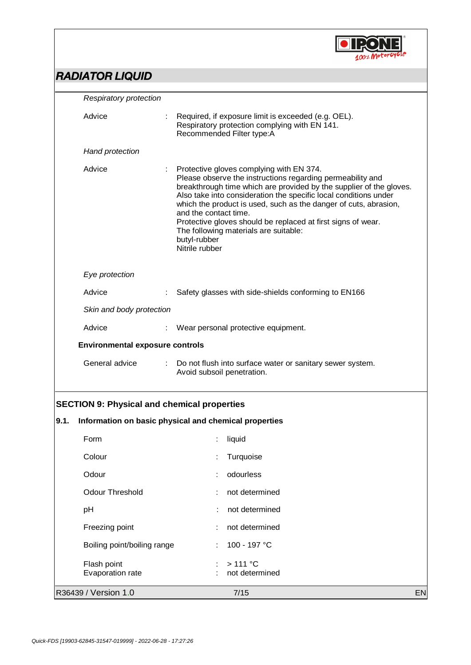

|      | <b>Respiratory protection</b>                      |   |                                                                                                                                                                                                                                                                                                                                                                                                                                                                                           |  |  |  |  |
|------|----------------------------------------------------|---|-------------------------------------------------------------------------------------------------------------------------------------------------------------------------------------------------------------------------------------------------------------------------------------------------------------------------------------------------------------------------------------------------------------------------------------------------------------------------------------------|--|--|--|--|
|      | Advice                                             |   | Required, if exposure limit is exceeded (e.g. OEL).<br>Respiratory protection complying with EN 141.<br>Recommended Filter type:A                                                                                                                                                                                                                                                                                                                                                         |  |  |  |  |
|      | Hand protection                                    |   |                                                                                                                                                                                                                                                                                                                                                                                                                                                                                           |  |  |  |  |
|      | Advice                                             |   | Protective gloves complying with EN 374.<br>Please observe the instructions regarding permeability and<br>breakthrough time which are provided by the supplier of the gloves.<br>Also take into consideration the specific local conditions under<br>which the product is used, such as the danger of cuts, abrasion,<br>and the contact time.<br>Protective gloves should be replaced at first signs of wear.<br>The following materials are suitable:<br>butyl-rubber<br>Nitrile rubber |  |  |  |  |
|      | Eye protection                                     |   |                                                                                                                                                                                                                                                                                                                                                                                                                                                                                           |  |  |  |  |
|      | Advice                                             |   | Safety glasses with side-shields conforming to EN166                                                                                                                                                                                                                                                                                                                                                                                                                                      |  |  |  |  |
|      | Skin and body protection                           |   |                                                                                                                                                                                                                                                                                                                                                                                                                                                                                           |  |  |  |  |
|      | Advice                                             |   | Wear personal protective equipment.                                                                                                                                                                                                                                                                                                                                                                                                                                                       |  |  |  |  |
|      | <b>Environmental exposure controls</b>             |   |                                                                                                                                                                                                                                                                                                                                                                                                                                                                                           |  |  |  |  |
|      | General advice                                     | ÷ | Do not flush into surface water or sanitary sewer system.<br>Avoid subsoil penetration.                                                                                                                                                                                                                                                                                                                                                                                                   |  |  |  |  |
|      | <b>SECTION 9: Physical and chemical properties</b> |   |                                                                                                                                                                                                                                                                                                                                                                                                                                                                                           |  |  |  |  |
| 9.1. |                                                    |   | Information on basic physical and chemical properties                                                                                                                                                                                                                                                                                                                                                                                                                                     |  |  |  |  |
|      | Form                                               |   | $:$ liquid                                                                                                                                                                                                                                                                                                                                                                                                                                                                                |  |  |  |  |
|      | Colour                                             |   | Turquoise                                                                                                                                                                                                                                                                                                                                                                                                                                                                                 |  |  |  |  |
|      | Odour                                              |   | odourless                                                                                                                                                                                                                                                                                                                                                                                                                                                                                 |  |  |  |  |
|      | <b>Odour Threshold</b>                             |   | not determined                                                                                                                                                                                                                                                                                                                                                                                                                                                                            |  |  |  |  |
|      | pH                                                 |   | not determined                                                                                                                                                                                                                                                                                                                                                                                                                                                                            |  |  |  |  |
|      | Freezing point                                     |   | not determined                                                                                                                                                                                                                                                                                                                                                                                                                                                                            |  |  |  |  |
|      | Boiling point/boiling range                        |   | 100 - 197 °C                                                                                                                                                                                                                                                                                                                                                                                                                                                                              |  |  |  |  |
|      | Flash point                                        |   | >111 °C                                                                                                                                                                                                                                                                                                                                                                                                                                                                                   |  |  |  |  |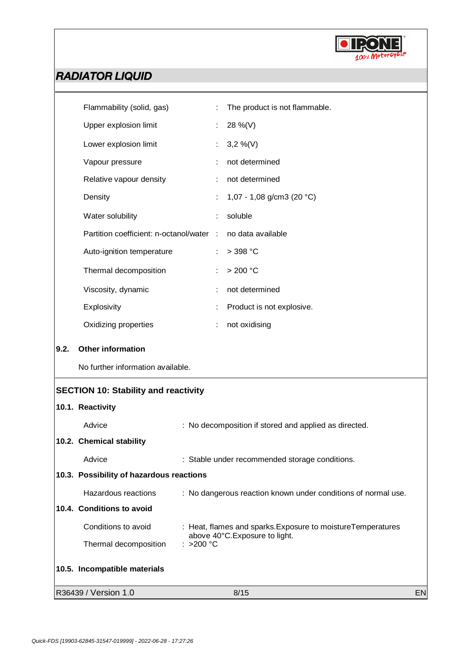

|      | Flammability (solid, gas)                   | ÷                                                     | The product is not flammable.                                 |  |
|------|---------------------------------------------|-------------------------------------------------------|---------------------------------------------------------------|--|
|      | Upper explosion limit                       | ÷.                                                    | 28 %(V)                                                       |  |
|      | Lower explosion limit                       | ÷                                                     | $3,2\%$ (V)                                                   |  |
|      | Vapour pressure                             |                                                       | not determined                                                |  |
|      | Relative vapour density                     | ÷                                                     | not determined                                                |  |
|      | Density                                     |                                                       | 1,07 - 1,08 g/cm3 (20 °C)                                     |  |
|      | Water solubility                            | ÷                                                     | soluble                                                       |  |
|      | Partition coefficient: n-octanol/water :    |                                                       | no data available                                             |  |
|      | Auto-ignition temperature                   | ÷                                                     | $>$ 398 °C                                                    |  |
|      | Thermal decomposition                       |                                                       | > 200 °C                                                      |  |
|      | Viscosity, dynamic                          |                                                       | not determined                                                |  |
|      | Explosivity                                 |                                                       | Product is not explosive.                                     |  |
|      | Oxidizing properties                        | ÷                                                     | not oxidising                                                 |  |
| 9.2. | <b>Other information</b>                    |                                                       |                                                               |  |
|      | No further information available.           |                                                       |                                                               |  |
|      |                                             |                                                       |                                                               |  |
|      | <b>SECTION 10: Stability and reactivity</b> |                                                       |                                                               |  |
|      | 10.1. Reactivity                            |                                                       |                                                               |  |
|      | Advice                                      |                                                       | : No decomposition if stored and applied as directed.         |  |
|      | 10.2. Chemical stability                    |                                                       |                                                               |  |
|      | Advice                                      |                                                       | : Stable under recommended storage conditions.                |  |
|      | 10.3. Possibility of hazardous reactions    |                                                       |                                                               |  |
|      | Hazardous reactions                         |                                                       | : No dangerous reaction known under conditions of normal use. |  |
|      | 10.4. Conditions to avoid                   |                                                       |                                                               |  |
|      | Conditions to avoid                         |                                                       | : Heat, flames and sparks. Exposure to moisture Temperatures  |  |
|      | Thermal decomposition                       | above 40°C. Exposure to light.<br>: >200 $^{\circ}$ C |                                                               |  |
|      | 10.5. Incompatible materials                |                                                       |                                                               |  |

R36439 / Version 1.0 **B** 8/15 **EN**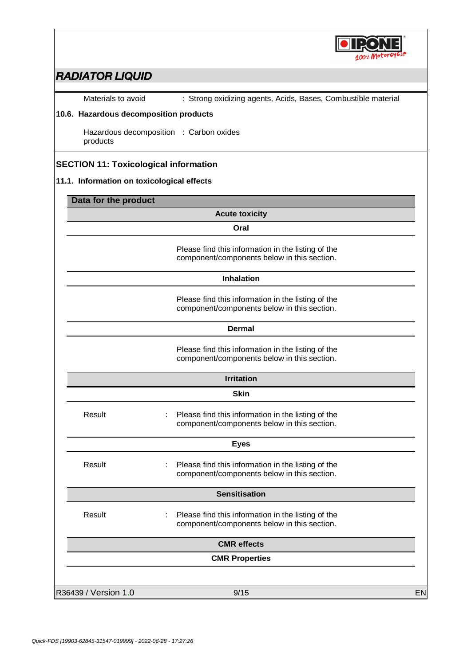

Materials to avoid : Strong oxidizing agents, Acids, Bases, Combustible material

#### **10.6. Hazardous decomposition products**

Hazardous decomposition : Carbon oxides products

### **SECTION 11: Toxicological information**

#### **11.1. Information on toxicological effects**

|                      | <b>Acute toxicity</b>                                                                             |  |
|----------------------|---------------------------------------------------------------------------------------------------|--|
|                      | Oral                                                                                              |  |
|                      |                                                                                                   |  |
|                      | Please find this information in the listing of the                                                |  |
|                      | component/components below in this section.                                                       |  |
|                      | <b>Inhalation</b>                                                                                 |  |
|                      | Please find this information in the listing of the                                                |  |
|                      | component/components below in this section.                                                       |  |
|                      | <b>Dermal</b>                                                                                     |  |
|                      | Please find this information in the listing of the                                                |  |
|                      | component/components below in this section.                                                       |  |
|                      | <b>Irritation</b>                                                                                 |  |
|                      | <b>Skin</b>                                                                                       |  |
|                      |                                                                                                   |  |
| Result               | Please find this information in the listing of the<br>component/components below in this section. |  |
|                      | <b>Eyes</b>                                                                                       |  |
| Result               | Please find this information in the listing of the                                                |  |
|                      | component/components below in this section.                                                       |  |
|                      | <b>Sensitisation</b>                                                                              |  |
| Result               | Please find this information in the listing of the<br>÷                                           |  |
|                      | component/components below in this section.                                                       |  |
|                      | <b>CMR</b> effects                                                                                |  |
|                      | <b>CMR Properties</b>                                                                             |  |
|                      |                                                                                                   |  |
| R36439 / Version 1.0 | 9/15                                                                                              |  |
|                      |                                                                                                   |  |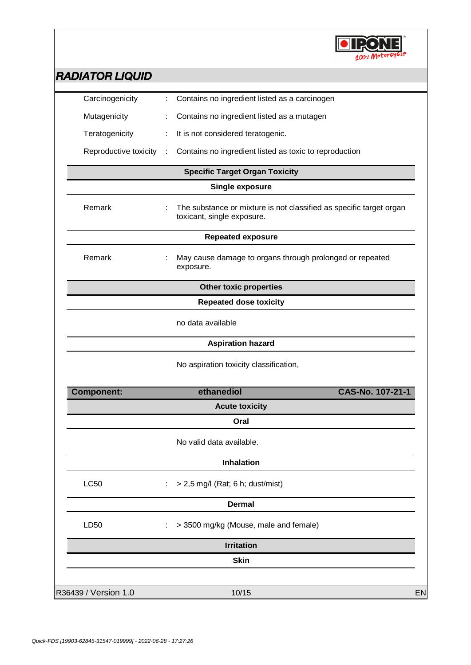

| Carcinogenicity       |   | Contains no ingredient listed as a carcinogen                                                     |    |
|-----------------------|---|---------------------------------------------------------------------------------------------------|----|
| Mutagenicity          |   | Contains no ingredient listed as a mutagen                                                        |    |
| Teratogenicity        |   | It is not considered teratogenic.                                                                 |    |
| Reproductive toxicity | ÷ | Contains no ingredient listed as toxic to reproduction                                            |    |
|                       |   | <b>Specific Target Organ Toxicity</b>                                                             |    |
|                       |   | <b>Single exposure</b>                                                                            |    |
| Remark                |   | The substance or mixture is not classified as specific target organ<br>toxicant, single exposure. |    |
|                       |   | <b>Repeated exposure</b>                                                                          |    |
| Remark                |   | May cause damage to organs through prolonged or repeated<br>exposure.                             |    |
|                       |   | <b>Other toxic properties</b>                                                                     |    |
|                       |   | <b>Repeated dose toxicity</b>                                                                     |    |
|                       |   | no data available                                                                                 |    |
|                       |   | <b>Aspiration hazard</b>                                                                          |    |
|                       |   | No aspiration toxicity classification,                                                            |    |
| <b>Component:</b>     |   | CAS-No. 107-21-1<br>ethanediol                                                                    |    |
|                       |   | <b>Acute toxicity</b>                                                                             |    |
|                       |   | Oral                                                                                              |    |
|                       |   | No valid data available.                                                                          |    |
|                       |   | Inhalation                                                                                        |    |
| <b>LC50</b>           |   | > 2,5 mg/l (Rat; 6 h; dust/mist)                                                                  |    |
|                       |   | <b>Dermal</b>                                                                                     |    |
| LD50                  |   | > 3500 mg/kg (Mouse, male and female)                                                             |    |
|                       |   | <b>Irritation</b>                                                                                 |    |
|                       |   | <b>Skin</b>                                                                                       |    |
|                       |   |                                                                                                   |    |
| R36439 / Version 1.0  |   | 10/15                                                                                             | EN |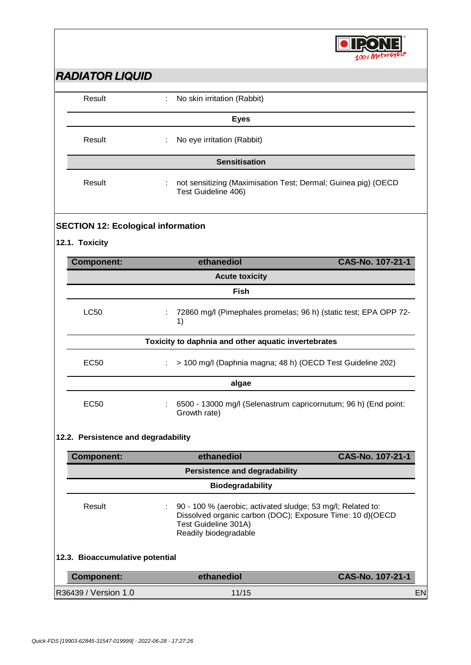

| NADIA I UN LIQUID                    |                                                                                           |                  |  |  |
|--------------------------------------|-------------------------------------------------------------------------------------------|------------------|--|--|
| Result                               | ÷<br>No skin irritation (Rabbit)                                                          |                  |  |  |
|                                      | <b>Eyes</b>                                                                               |                  |  |  |
| Result                               | No eye irritation (Rabbit)<br>÷                                                           |                  |  |  |
|                                      | <b>Sensitisation</b>                                                                      |                  |  |  |
| Result                               | not sensitizing (Maximisation Test; Dermal; Guinea pig) (OECD<br>÷<br>Test Guideline 406) |                  |  |  |
|                                      | <b>SECTION 12: Ecological information</b>                                                 |                  |  |  |
| 12.1. Toxicity                       |                                                                                           |                  |  |  |
| <b>Component:</b>                    | ethanediol                                                                                | CAS-No. 107-21-1 |  |  |
|                                      | <b>Acute toxicity</b>                                                                     |                  |  |  |
|                                      | <b>Fish</b>                                                                               |                  |  |  |
| <b>LC50</b>                          | 72860 mg/l (Pimephales promelas; 96 h) (static test; EPA OPP 72-<br>÷<br>1)               |                  |  |  |
|                                      | Toxicity to daphnia and other aquatic invertebrates                                       |                  |  |  |
| <b>EC50</b>                          | > 100 mg/l (Daphnia magna; 48 h) (OECD Test Guideline 202)<br>÷                           |                  |  |  |
|                                      | algae                                                                                     |                  |  |  |
| EC50                                 | 6500 - 13000 mg/l (Selenastrum capricornutum; 96 h) (End point:<br>Growth rate)           |                  |  |  |
| 12.2. Persistence and degradability  |                                                                                           |                  |  |  |
| <b>Component:</b>                    | ethanediol                                                                                | CAS-No. 107-21-1 |  |  |
| <b>Persistence and degradability</b> |                                                                                           |                  |  |  |
|                                      | <b>Biodegradability</b>                                                                   |                  |  |  |

Result : 90 - 100 % (aerobic; activated sludge; 53 mg/l; Related to: Dissolved organic carbon (DOC); Exposure Time: 10 d)(OECD Test Guideline 301A) Readily biodegradable

#### **12.3. Bioaccumulative potential**

| Component:           | ethanediol | CAS-No. 107-21-1 |
|----------------------|------------|------------------|
| R36439 / Version 1.0 | 11/15      | EN               |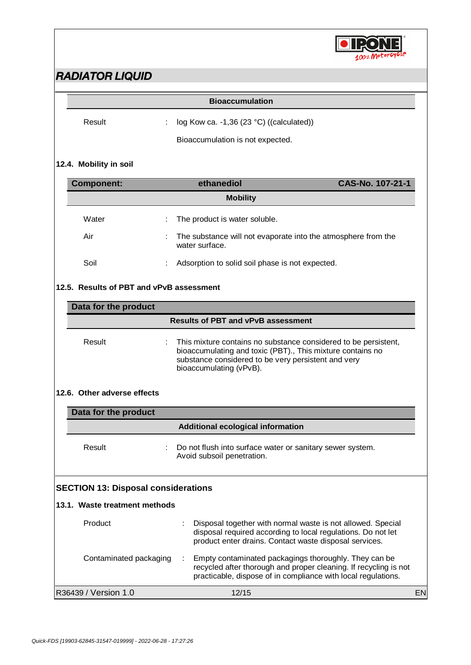

| Result | : $\log$ Kow ca. -1,36 (23 °C) ((calculated)) |
|--------|-----------------------------------------------|
|        |                                               |

Bioaccumulation is not expected.

### **12.4. Mobility in soil**

| <b>Component:</b> |   | ethanediol                                                                        | CAS-No. 107-21-1 |
|-------------------|---|-----------------------------------------------------------------------------------|------------------|
|                   |   | <b>Mobility</b>                                                                   |                  |
| Water             |   | : The product is water soluble.                                                   |                  |
| Air               |   | : The substance will not evaporate into the atmosphere from the<br>water surface. |                  |
| Soil              | ÷ | Adsorption to solid soil phase is not expected.                                   |                  |

#### **12.5. Results of PBT and vPvB assessment**

| Data for the product |                                                                                                                                                                                                                   |  |  |  |
|----------------------|-------------------------------------------------------------------------------------------------------------------------------------------------------------------------------------------------------------------|--|--|--|
|                      | <b>Results of PBT and vPvB assessment</b>                                                                                                                                                                         |  |  |  |
| Result               | : This mixture contains no substance considered to be persistent,<br>bioaccumulating and toxic (PBT)., This mixture contains no<br>substance considered to be very persistent and very<br>bioaccumulating (vPvB). |  |  |  |

#### **12.6. Other adverse effects**

| Data for the product |                                                                                         |  |  |  |
|----------------------|-----------------------------------------------------------------------------------------|--|--|--|
|                      | Additional ecological information                                                       |  |  |  |
| Result               | Do not flush into surface water or sanitary sewer system.<br>Avoid subsoil penetration. |  |  |  |

### **SECTION 13: Disposal considerations**

| 13.1. Waste treatment methods |                                                                                                                                                                                            |    |
|-------------------------------|--------------------------------------------------------------------------------------------------------------------------------------------------------------------------------------------|----|
| Product                       | Disposal together with normal waste is not allowed. Special<br>disposal required according to local regulations. Do not let<br>product enter drains. Contact waste disposal services.      |    |
| Contaminated packaging        | Empty contaminated packagings thoroughly. They can be<br>recycled after thorough and proper cleaning. If recycling is not<br>practicable, dispose of in compliance with local regulations. |    |
| R36439 / Version 1.0          | 12/15                                                                                                                                                                                      | EN |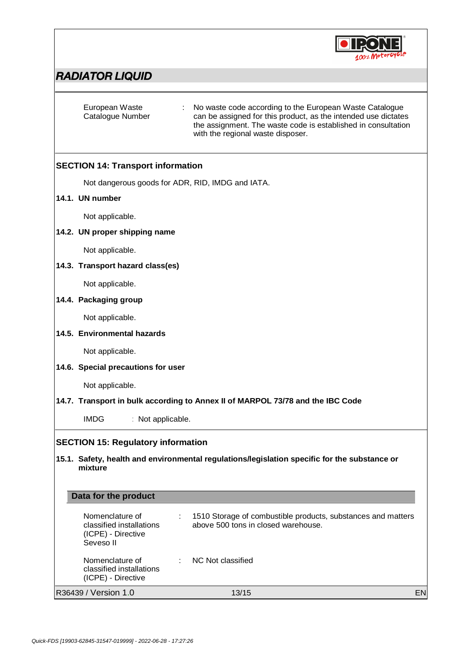

| European Waste<br>Catalogue Number                                                                      | No waste code according to the European Waste Catalogue<br>can be assigned for this product, as the intended use dictates<br>the assignment. The waste code is established in consultation<br>with the regional waste disposer. |           |  |  |
|---------------------------------------------------------------------------------------------------------|---------------------------------------------------------------------------------------------------------------------------------------------------------------------------------------------------------------------------------|-----------|--|--|
| <b>SECTION 14: Transport information</b>                                                                |                                                                                                                                                                                                                                 |           |  |  |
| Not dangerous goods for ADR, RID, IMDG and IATA.                                                        |                                                                                                                                                                                                                                 |           |  |  |
| 14.1. UN number                                                                                         |                                                                                                                                                                                                                                 |           |  |  |
| Not applicable.                                                                                         |                                                                                                                                                                                                                                 |           |  |  |
| 14.2. UN proper shipping name                                                                           |                                                                                                                                                                                                                                 |           |  |  |
| Not applicable.                                                                                         |                                                                                                                                                                                                                                 |           |  |  |
| 14.3. Transport hazard class(es)                                                                        |                                                                                                                                                                                                                                 |           |  |  |
| Not applicable.                                                                                         |                                                                                                                                                                                                                                 |           |  |  |
| 14.4. Packaging group                                                                                   |                                                                                                                                                                                                                                 |           |  |  |
| Not applicable.                                                                                         |                                                                                                                                                                                                                                 |           |  |  |
| 14.5. Environmental hazards                                                                             |                                                                                                                                                                                                                                 |           |  |  |
| Not applicable.                                                                                         |                                                                                                                                                                                                                                 |           |  |  |
| 14.6. Special precautions for user                                                                      |                                                                                                                                                                                                                                 |           |  |  |
| Not applicable.                                                                                         |                                                                                                                                                                                                                                 |           |  |  |
| 14.7. Transport in bulk according to Annex II of MARPOL 73/78 and the IBC Code                          |                                                                                                                                                                                                                                 |           |  |  |
| <b>IMDG</b><br>: Not applicable.                                                                        |                                                                                                                                                                                                                                 |           |  |  |
| <b>SECTION 15: Regulatory information</b>                                                               |                                                                                                                                                                                                                                 |           |  |  |
| 15.1. Safety, health and environmental regulations/legislation specific for the substance or<br>mixture |                                                                                                                                                                                                                                 |           |  |  |
| Data for the product                                                                                    |                                                                                                                                                                                                                                 |           |  |  |
| Nomenclature of<br>classified installations<br>(ICPE) - Directive<br>Seveso II                          | 1510 Storage of combustible products, substances and matters<br>above 500 tons in closed warehouse.                                                                                                                             |           |  |  |
| Nomenclature of<br>÷<br>classified installations<br>(ICPE) - Directive                                  | NC Not classified                                                                                                                                                                                                               |           |  |  |
| R36439 / Version 1.0                                                                                    | 13/15                                                                                                                                                                                                                           | <b>EN</b> |  |  |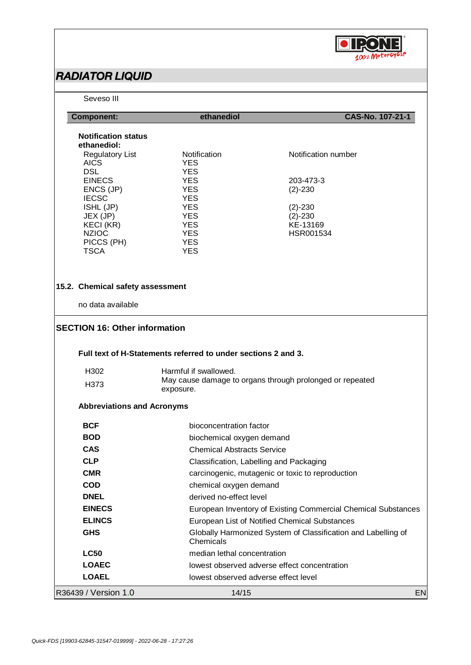

| Seveso III                           |                                                               |                                                               |  |
|--------------------------------------|---------------------------------------------------------------|---------------------------------------------------------------|--|
| <b>Component:</b>                    | ethanediol                                                    | CAS-No. 107-21-1                                              |  |
| <b>Notification status</b>           |                                                               |                                                               |  |
| ethanediol:                          |                                                               |                                                               |  |
| <b>Regulatory List</b>               | Notification                                                  | Notification number                                           |  |
| <b>AICS</b><br><b>DSL</b>            | <b>YES</b><br><b>YES</b>                                      |                                                               |  |
| <b>EINECS</b>                        | <b>YES</b>                                                    | 203-473-3                                                     |  |
| ENCS (JP)                            | <b>YES</b>                                                    | $(2)-230$                                                     |  |
| <b>IECSC</b>                         | <b>YES</b>                                                    |                                                               |  |
| ISHL (JP)<br>JEX (JP)                | <b>YES</b><br><b>YES</b>                                      | $(2)-230$<br>$(2)-230$                                        |  |
| KECI (KR)                            | <b>YES</b>                                                    | KE-13169                                                      |  |
| <b>NZIOC</b>                         | <b>YES</b>                                                    | HSR001534                                                     |  |
| PICCS (PH)                           | <b>YES</b>                                                    |                                                               |  |
| <b>TSCA</b>                          | <b>YES</b>                                                    |                                                               |  |
|                                      |                                                               |                                                               |  |
| 15.2. Chemical safety assessment     |                                                               |                                                               |  |
| no data available                    |                                                               |                                                               |  |
| <b>SECTION 16: Other information</b> |                                                               |                                                               |  |
|                                      |                                                               |                                                               |  |
|                                      | Full text of H-Statements referred to under sections 2 and 3. |                                                               |  |
| H302                                 | Harmful if swallowed.                                         |                                                               |  |
| H <sub>3</sub> 73                    | May cause damage to organs through prolonged or repeated      |                                                               |  |
|                                      | exposure.                                                     |                                                               |  |
| <b>Abbreviations and Acronyms</b>    |                                                               |                                                               |  |
| <b>BCF</b>                           | bioconcentration factor                                       |                                                               |  |
| <b>BOD</b>                           | biochemical oxygen demand                                     |                                                               |  |
| <b>CAS</b>                           | <b>Chemical Abstracts Service</b>                             |                                                               |  |
| <b>CLP</b>                           |                                                               | Classification, Labelling and Packaging                       |  |
| <b>CMR</b>                           |                                                               | carcinogenic, mutagenic or toxic to reproduction              |  |
| <b>COD</b>                           | chemical oxygen demand                                        |                                                               |  |
| <b>DNEL</b>                          | derived no-effect level                                       |                                                               |  |
| <b>EINECS</b>                        |                                                               |                                                               |  |
|                                      |                                                               | European Inventory of Existing Commercial Chemical Substances |  |
| <b>ELINCS</b>                        |                                                               | European List of Notified Chemical Substances                 |  |
| <b>GHS</b>                           | Chemicals                                                     | Globally Harmonized System of Classification and Labelling of |  |
| <b>LC50</b>                          | median lethal concentration                                   |                                                               |  |
| <b>LOAEC</b>                         | lowest observed adverse effect concentration                  |                                                               |  |
| <b>LOAEL</b>                         | lowest observed adverse effect level                          |                                                               |  |
| R36439 / Version 1.0                 | 14/15                                                         | EN                                                            |  |
|                                      |                                                               |                                                               |  |